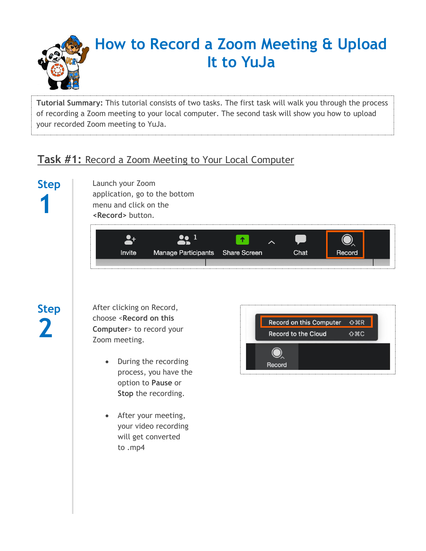

**Tutorial Summary:** This tutorial consists of two tasks. The first task will walk you through the process of recording a Zoom meeting to your local computer. The second task will show you how to upload your recorded Zoom meeting to YuJa.

#### **Task #1:** Record a Zoom Meeting to Your Local Computer

# **Step 1**

Launch your Zoom application, go to the bottom menu and click on the **<Record>** button.



### **Step 2**

After clicking on Record, choose <**Record on this Computer**> to record your Zoom meeting.

- During the recording process, you have the option to **Pause** or **Stop** the recording.
- After your meeting, your video recording will get converted to .mp4

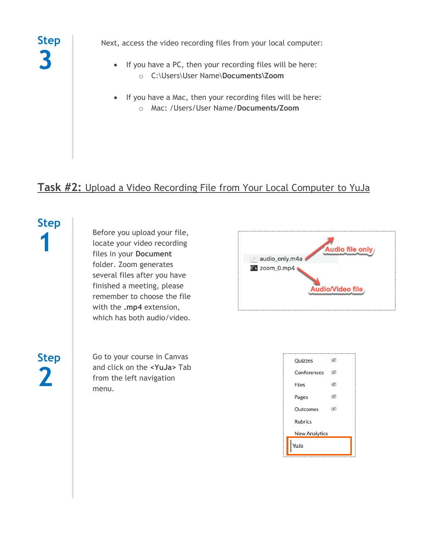

Next, access the video recording files from your local computer:

- If you have a PC, then your recording files will be here: o C:\Users\User Name\**Documents\Zoom**
- If you have a Mac, then your recording files will be here: o Mac: /Users/User Name/**Documents/Zoom**

### **Task #2:** Upload a Video Recording File from Your Local Computer to YuJa

## **Step 1**

Before you upload your file, locate your video recording files in your **Document** folder. Zoom generates several files after you have finished a meeting, please remember to choose the file with the **.mp4** extension, which has both audio/video.

**Step 2**

Go to your course in Canvas and click on the **<YuJa>** Tab from the left navigation menu.



| Quizzes        |  |  |  |  |  |  |  |
|----------------|--|--|--|--|--|--|--|
| Conferences    |  |  |  |  |  |  |  |
| Files          |  |  |  |  |  |  |  |
| Pages          |  |  |  |  |  |  |  |
| Outcomes       |  |  |  |  |  |  |  |
| <b>Rubrics</b> |  |  |  |  |  |  |  |
| New Analytics  |  |  |  |  |  |  |  |
| YuJa           |  |  |  |  |  |  |  |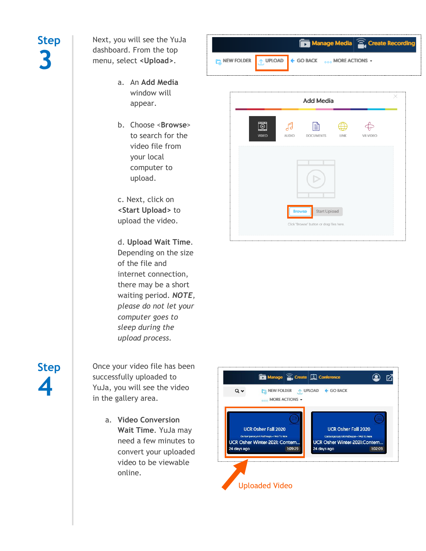Next, you will see the YuJa dashboard. From the top menu, select **<Upload>**.

- a. An **Add Media** window will appear.
- b. Choose <**Browse**> to search for the video file from your local computer to upload.

c. Next, click on **<Start Upload>** to upload the video.

d. **Upload Wait Time**. Depending on the size of the file and internet connection, there may be a short waiting period. *NOTE, please do not let your computer goes to sleep during the upload process.*

**Step 4**

Once your video file has been successfully uploaded to YuJa, you will see the video in the gallery area.

> a. **Video Conversion Wait Time**. YuJa may need a few minutes to convert your uploaded video to be viewable online.

|  |              |              |                         | <b>I<sub>G</sub></b> NEW FOLDER $\uparrow$ UPLOAD $\uparrow$ GO BACK $\circ$ $\circ$ MORE ACTIONS - |                 |  |
|--|--------------|--------------|-------------------------|-----------------------------------------------------------------------------------------------------|-----------------|--|
|  |              |              | <b>Add Media</b>        |                                                                                                     |                 |  |
|  | <b>VIDEO</b> | <b>AUDIO</b> | $=$<br><b>DOCUMENTS</b> | LINK                                                                                                | <b>VR VIDEO</b> |  |

Start Upload

Click "Browse" button or drag files here

Manage Media 2. Create Recording